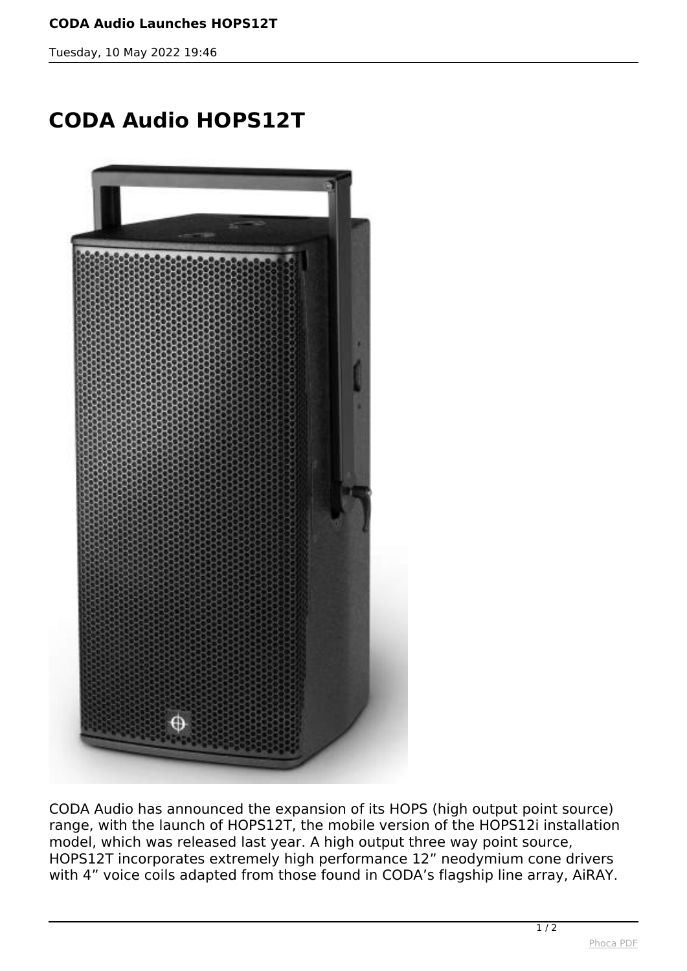## **CODA Audio Launches HOPS12T**

*Tuesday, 10 May 2022 19:46*

## **CODA Audio HOPS12T**



*CODA Audio has announced the expansion of its HOPS (high output point source) range, with the launch of HOPS12T, the mobile version of the HOPS12i installation model, which was released last year. A high output three way point source, HOPS12T incorporates extremely high performance 12" neodymium cone drivers with 4" voice coils adapted from those found in CODA's flagship line array, AiRAY.*